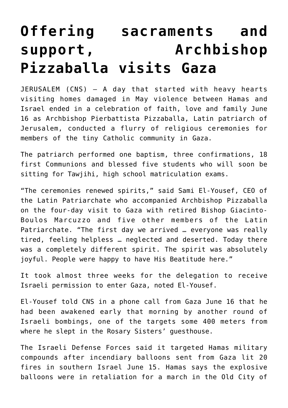## **[Offering sacraments and](https://www.osvnews.com/2021/06/18/offering-sacraments-and-support-archbishop-pizzaballa-visits-gaza/) [support, Archbishop](https://www.osvnews.com/2021/06/18/offering-sacraments-and-support-archbishop-pizzaballa-visits-gaza/) [Pizzaballa visits Gaza](https://www.osvnews.com/2021/06/18/offering-sacraments-and-support-archbishop-pizzaballa-visits-gaza/)**

JERUSALEM (CNS) — A day that started with heavy hearts visiting homes damaged in May violence between Hamas and Israel ended in a celebration of faith, love and family June 16 as Archbishop Pierbattista Pizzaballa, Latin patriarch of Jerusalem, conducted a flurry of religious ceremonies for members of the tiny Catholic community in Gaza.

The patriarch performed one baptism, three confirmations, 18 first Communions and blessed five students who will soon be sitting for Tawjihi, high school matriculation exams.

"The ceremonies renewed spirits," said Sami El-Yousef, CEO of the Latin Patriarchate who accompanied Archbishop Pizzaballa on the four-day visit to Gaza with retired Bishop Giacinto-Boulos Marcuzzo and five other members of the Latin Patriarchate. "The first day we arrived … everyone was really tired, feeling helpless … neglected and deserted. Today there was a completely different spirit. The spirit was absolutely joyful. People were happy to have His Beatitude here."

It took almost three weeks for the delegation to receive Israeli permission to enter Gaza, noted El-Yousef.

El-Yousef told CNS in a phone call from Gaza June 16 that he had been awakened early that morning by another round of Israeli bombings, one of the targets some 400 meters from where he slept in the Rosary Sisters' guesthouse.

The Israeli Defense Forces said it targeted Hamas military compounds after incendiary balloons sent from Gaza lit 20 fires in southern Israel June 15. Hamas says the explosive balloons were in retaliation for a march in the Old City of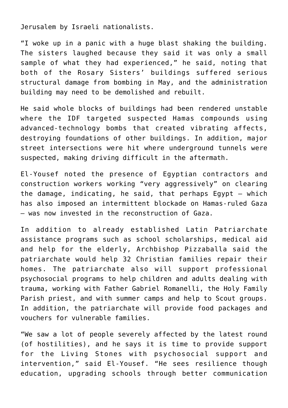Jerusalem by Israeli nationalists.

"I woke up in a panic with a huge blast shaking the building. The sisters laughed because they said it was only a small sample of what they had experienced," he said, noting that both of the Rosary Sisters' buildings suffered serious structural damage from bombing in May, and the administration building may need to be demolished and rebuilt.

He said whole blocks of buildings had been rendered unstable where the IDF targeted suspected Hamas compounds using advanced-technology bombs that created vibrating affects, destroying foundations of other buildings. In addition, major street intersections were hit where underground tunnels were suspected, making driving difficult in the aftermath.

El-Yousef noted the presence of Egyptian contractors and construction workers working "very aggressively" on clearing the damage, indicating, he said, that perhaps Egypt — which has also imposed an intermittent blockade on Hamas-ruled Gaza — was now invested in the reconstruction of Gaza.

In addition to already established Latin Patriarchate assistance programs such as school scholarships, medical aid and help for the elderly, Archbishop Pizzaballa said the patriarchate would help 32 Christian families repair their homes. The patriarchate also will support professional psychosocial programs to help children and adults dealing with trauma, working with Father Gabriel Romanelli, the Holy Family Parish priest, and with summer camps and help to Scout groups. In addition, the patriarchate will provide food packages and vouchers for vulnerable families.

"We saw a lot of people severely affected by the latest round (of hostilities), and he says it is time to provide support for the Living Stones with psychosocial support and intervention," said El-Yousef. "He sees resilience though education, upgrading schools through better communication